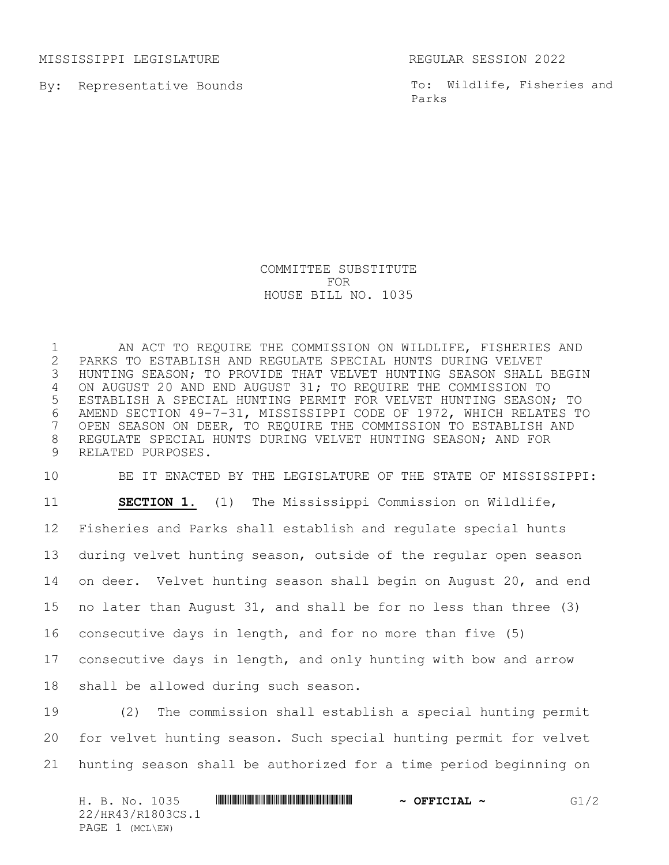MISSISSIPPI LEGISLATURE REGULAR SESSION 2022

By: Representative Bounds

To: Wildlife, Fisheries and Parks

## COMMITTEE SUBSTITUTE FOR HOUSE BILL NO. 1035

1 AN ACT TO REQUIRE THE COMMISSION ON WILDLIFE, FISHERIES AND<br>2 PARKS TO ESTABLISH AND REGULATE SPECIAL HUNTS DURING VELVET 2 PARKS TO ESTABLISH AND REGULATE SPECIAL HUNTS DURING VELVET<br>3 HUNTING SEASON; TO PROVIDE THAT VELVET HUNTING SEASON SHALL HUNTING SEASON; TO PROVIDE THAT VELVET HUNTING SEASON SHALL BEGIN 4 ON AUGUST 20 AND END AUGUST 31; TO REQUIRE THE COMMISSION TO 5 ESTABLISH A SPECIAL HUNTING PERMIT FOR VELVET HUNTING SEASON; TO 6 AMEND SECTION 49-7-31, MISSISSIPPI CODE OF 1972, WHICH RELATES TO<br>7 OPEN SEASON ON DEER, TO REQUIRE THE COMMISSION TO ESTABLISH AND OPEN SEASON ON DEER, TO REQUIRE THE COMMISSION TO ESTABLISH AND 8 REGULATE SPECIAL HUNTS DURING VELVET HUNTING SEASON; AND FOR 9 RELATED PURPOSES.

 BE IT ENACTED BY THE LEGISLATURE OF THE STATE OF MISSISSIPPI: **SECTION 1.** (1) The Mississippi Commission on Wildlife, Fisheries and Parks shall establish and regulate special hunts during velvet hunting season, outside of the regular open season on deer. Velvet hunting season shall begin on August 20, and end no later than August 31, and shall be for no less than three (3) consecutive days in length, and for no more than five (5) consecutive days in length, and only hunting with bow and arrow shall be allowed during such season.

19 (2) The commission shall establish a special hunting permit 20 for velvet hunting season. Such special hunting permit for velvet 21 hunting season shall be authorized for a time period beginning on

H. B. No. 1035 **HR441 CONSUMER CONSUMING THE REAL PROPERTION ASSESSED ASSESSED ASSOCIAL PROPERTIES** 22/HR43/R1803CS.1 PAGE 1 (MCL\EW)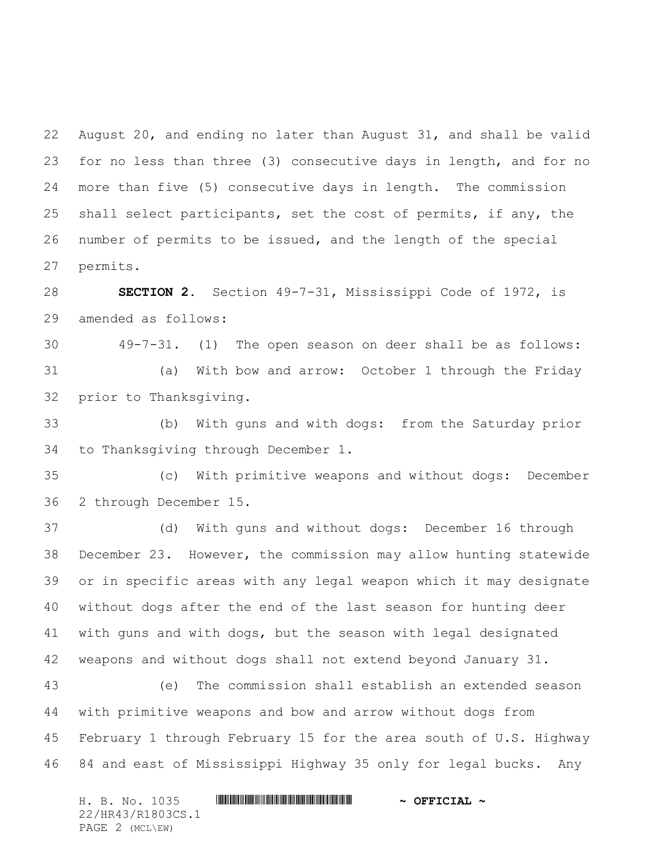August 20, and ending no later than August 31, and shall be valid for no less than three (3) consecutive days in length, and for no more than five (5) consecutive days in length. The commission shall select participants, set the cost of permits, if any, the number of permits to be issued, and the length of the special permits.

 **SECTION 2.** Section 49-7-31, Mississippi Code of 1972, is amended as follows:

 49-7-31. (1) The open season on deer shall be as follows: (a) With bow and arrow: October 1 through the Friday prior to Thanksgiving.

 (b) With guns and with dogs: from the Saturday prior to Thanksgiving through December 1.

 (c) With primitive weapons and without dogs: December 2 through December 15.

 (d) With guns and without dogs: December 16 through December 23. However, the commission may allow hunting statewide or in specific areas with any legal weapon which it may designate without dogs after the end of the last season for hunting deer with guns and with dogs, but the season with legal designated weapons and without dogs shall not extend beyond January 31.

 (e) The commission shall establish an extended season with primitive weapons and bow and arrow without dogs from February 1 through February 15 for the area south of U.S. Highway 84 and east of Mississippi Highway 35 only for legal bucks. Any

H. B. No. 1035 \*HR43/R1803CS.1\* **~ OFFICIAL ~** 22/HR43/R1803CS.1 PAGE 2 (MCL\EW)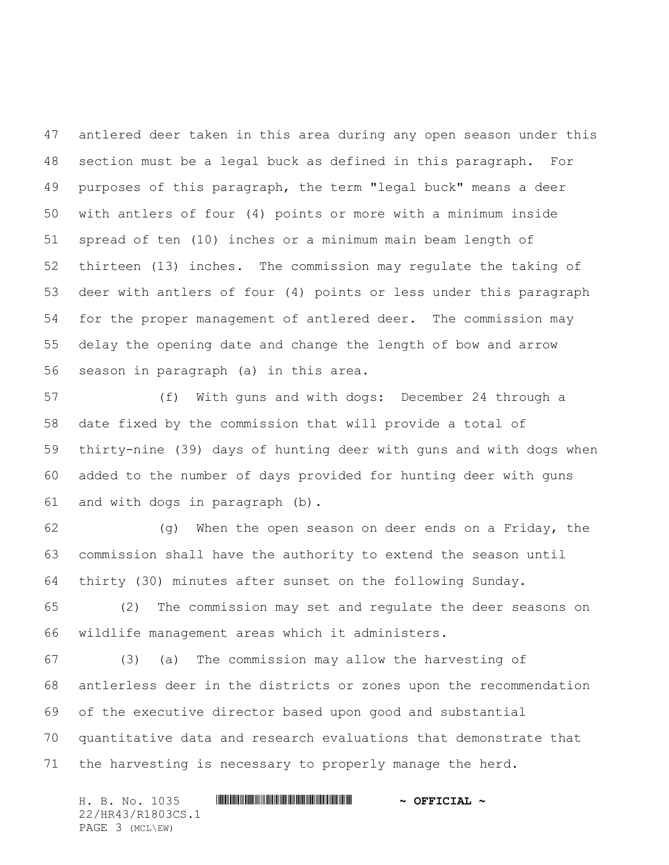antlered deer taken in this area during any open season under this section must be a legal buck as defined in this paragraph. For purposes of this paragraph, the term "legal buck" means a deer with antlers of four (4) points or more with a minimum inside spread of ten (10) inches or a minimum main beam length of thirteen (13) inches. The commission may regulate the taking of deer with antlers of four (4) points or less under this paragraph for the proper management of antlered deer. The commission may delay the opening date and change the length of bow and arrow season in paragraph (a) in this area.

 (f) With guns and with dogs: December 24 through a date fixed by the commission that will provide a total of thirty-nine (39) days of hunting deer with guns and with dogs when added to the number of days provided for hunting deer with guns and with dogs in paragraph (b).

 (g) When the open season on deer ends on a Friday, the commission shall have the authority to extend the season until thirty (30) minutes after sunset on the following Sunday.

 (2) The commission may set and regulate the deer seasons on wildlife management areas which it administers.

 (3) (a) The commission may allow the harvesting of antlerless deer in the districts or zones upon the recommendation of the executive director based upon good and substantial quantitative data and research evaluations that demonstrate that the harvesting is necessary to properly manage the herd.

H. B. No. 1035 \*HR43/R1803CS.1\* **~ OFFICIAL ~** 22/HR43/R1803CS.1 PAGE 3 (MCL\EW)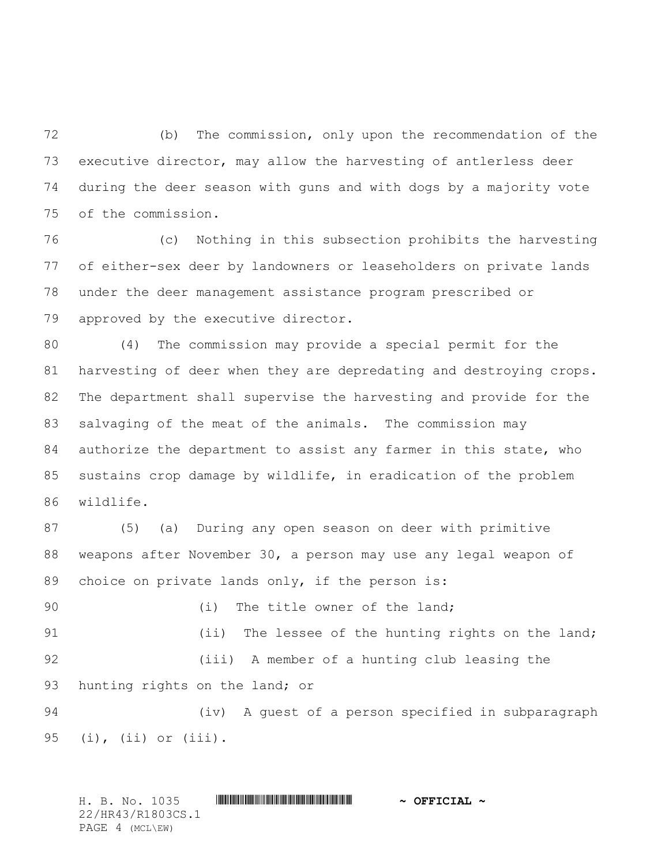(b) The commission, only upon the recommendation of the executive director, may allow the harvesting of antlerless deer during the deer season with guns and with dogs by a majority vote of the commission.

 (c) Nothing in this subsection prohibits the harvesting of either-sex deer by landowners or leaseholders on private lands under the deer management assistance program prescribed or approved by the executive director.

 (4) The commission may provide a special permit for the harvesting of deer when they are depredating and destroying crops. The department shall supervise the harvesting and provide for the salvaging of the meat of the animals. The commission may 84 authorize the department to assist any farmer in this state, who sustains crop damage by wildlife, in eradication of the problem wildlife.

 (5) (a) During any open season on deer with primitive weapons after November 30, a person may use any legal weapon of 89 choice on private lands only, if the person is:

90 (i) The title owner of the land; 91 (ii) The lessee of the hunting rights on the land; (iii) A member of a hunting club leasing the 93 hunting rights on the land; or

 (iv) A guest of a person specified in subparagraph (i), (ii) or (iii).

H. B. No. 1035 **\*\*\* AND \*\*\* AND \*\*\* THE \*\*\* AND \*\*\* AND \*\*\* OFFICIAL ~\*** 22/HR43/R1803CS.1 PAGE 4 (MCL\EW)